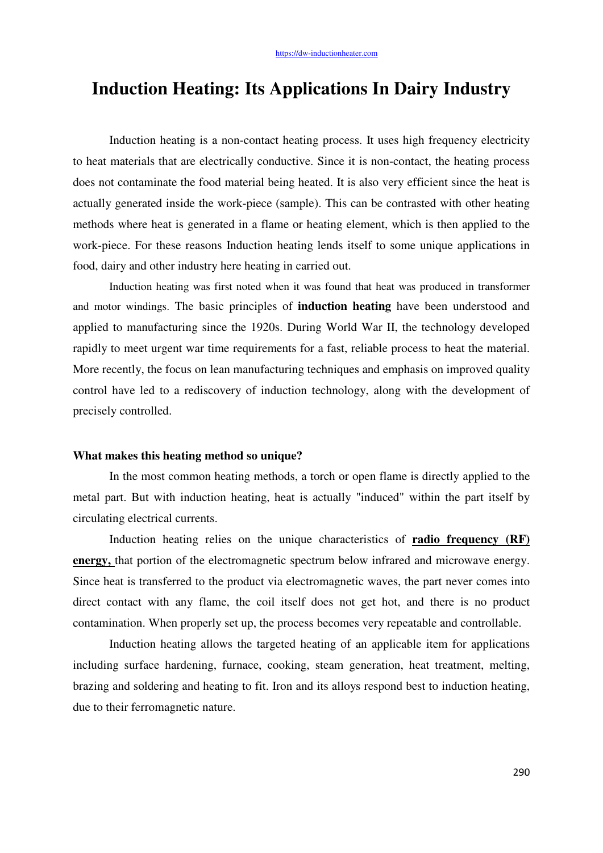# **Induction Heating: Its Applications In Dairy Industry**

Induction heating is a non-contact heating process. It uses high frequency electricity to heat materials that are electrically conductive. Since it is non-contact, the heating process does not contaminate the food material being heated. It is also very efficient since the heat is actually generated inside the work-piece (sample). This can be contrasted with other heating methods where heat is generated in a flame or heating element, which is then applied to the work-piece. For these reasons Induction heating lends itself to some unique applications in food, dairy and other industry here heating in carried out.

Induction heating was first noted when it was found that heat was produced in transformer and motor windings. The basic principles of **induction heating** have been understood and applied to manufacturing since the 1920s. During World War II, the technology developed rapidly to meet urgent war time requirements for a fast, reliable process to heat the material. More recently, the focus on lean manufacturing techniques and emphasis on improved quality control have led to a rediscovery of induction technology, along with the development of precisely controlled.

#### **What makes this heating method so unique?**

In the most common heating methods, a torch or open flame is directly applied to the metal part. But with induction heating, heat is actually "induced" within the part itself by circulating electrical currents.

Induction heating relies on the unique characteristics of **radio frequency (RF) energy,** that portion of the electromagnetic spectrum below infrared and microwave energy. Since heat is transferred to the product via electromagnetic waves, the part never comes into direct contact with any flame, the coil itself does not get hot, and there is no product contamination. When properly set up, the process becomes very repeatable and controllable.

Induction heating allows the targeted heating of an applicable item for applications including surface hardening, furnace, cooking, steam generation, heat treatment, melting, brazing and soldering and heating to fit. Iron and its alloys respond best to induction heating, due to their ferromagnetic nature.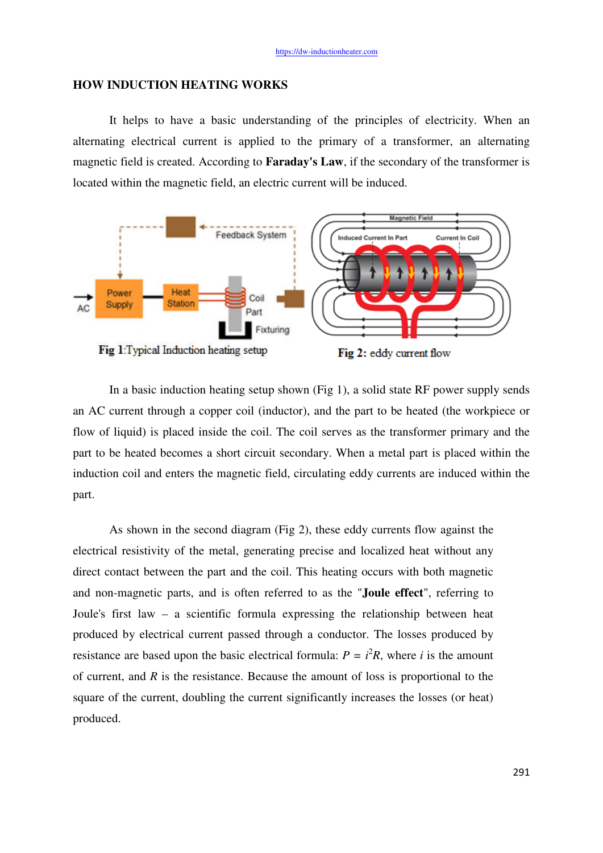## **HOW INDUCTION HEATING WORKS**

It helps to have a basic understanding of the principles of electricity. When an alternating electrical current is applied to the primary of a transformer, an alternating magnetic field is created. According to **Faraday's Law**, if the secondary of the transformer is located within the magnetic field, an electric current will be induced.



In a basic induction heating setup shown (Fig 1), a solid state RF power supply sends an AC current through a copper coil (inductor), and the part to be heated (the workpiece or flow of liquid) is placed inside the coil. The coil serves as the transformer primary and the part to be heated becomes a short circuit secondary. When a metal part is placed within the induction coil and enters the magnetic field, circulating eddy currents are induced within the part.

As shown in the second diagram (Fig 2), these eddy currents flow against the electrical resistivity of the metal, generating precise and localized heat without any direct contact between the part and the coil. This heating occurs with both magnetic and non-magnetic parts, and is often referred to as the "**[Joule effect](http://www.inductionatmospheres.com/induction-heating/terms.html%23joule)**", referring to Joule's first law – a scientific formula expressing the relationship between heat produced by electrical current passed through a conductor. The losses produced by resistance are based upon the basic electrical formula:  $P = i^2 R$ , where *i* is the amount of current, and *R* is the resistance. Because the amount of loss is proportional to the square of the current, doubling the current significantly increases the losses (or heat) produced.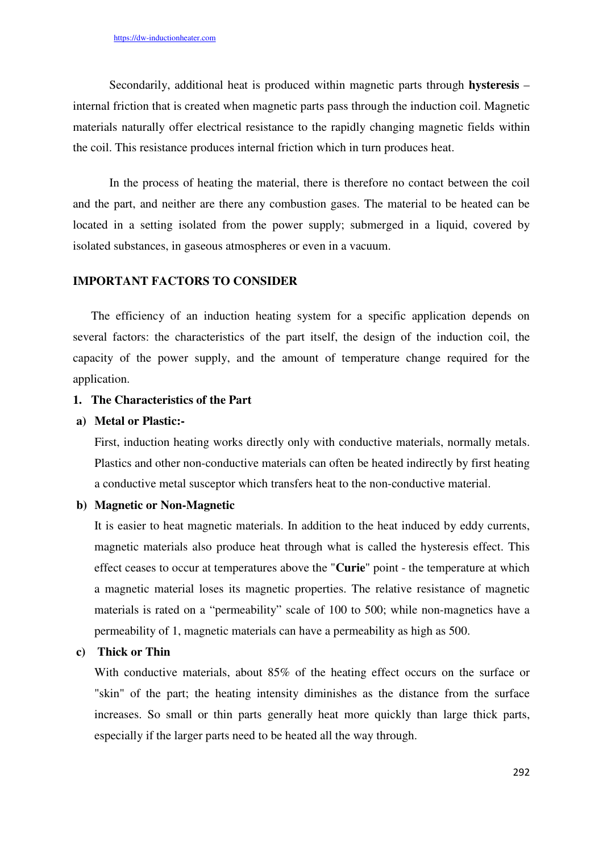Secondarily, additional heat is produced within magnetic parts through **[hysteresis](http://www.inductionatmospheres.com/induction-heating/terms.html%23hysteresis)** – internal friction that is created when magnetic parts pass through the induction coil. Magnetic materials naturally offer electrical resistance to the rapidly changing magnetic fields within the coil. This resistance produces internal friction which in turn produces heat.

In the process of heating the material, there is therefore no contact between the coil and the part, and neither are there any combustion gases. The material to be heated can be located in a setting isolated from the power supply; submerged in a liquid, covered by isolated substances, in gaseous atmospheres or even in a vacuum.

### **IMPORTANT FACTORS TO CONSIDER**

The efficiency of an induction heating system for a specific application depends on several factors: the characteristics of the part itself, the design of the induction coil, the capacity of the power supply, and the amount of temperature change required for the application.

#### **1. The Characteristics of the Part**

#### **a) Metal or Plastic:-**

First, induction heating works directly only with conductive materials, normally metals. Plastics and other non-conductive materials can often be heated indirectly by first heating a conductive metal susceptor which transfers heat to the non-conductive material.

#### **b) Magnetic or Non-Magnetic**

It is easier to heat magnetic materials. In addition to the heat induced by eddy currents, magnetic materials also produce heat through what is called the hysteresis effect. This effect ceases to occur at temperatures above the "**[Curie](http://www.inductionatmospheres.com/induction-heating/terms.html%23anchor2d7e09ed)**" point - the temperature at which a magnetic material loses its magnetic properties. The relative resistance of magnetic materials is rated on a "permeability" scale of 100 to 500; while non-magnetics have a permeability of 1, magnetic materials can have a permeability as high as 500.

#### **c) Thick or Thin**

With conductive materials, about 85% of the heating effect occurs on the surface or "skin" of the part; the heating intensity diminishes as the distance from the surface increases. So small or thin parts generally heat more quickly than large thick parts, especially if the larger parts need to be heated all the way through.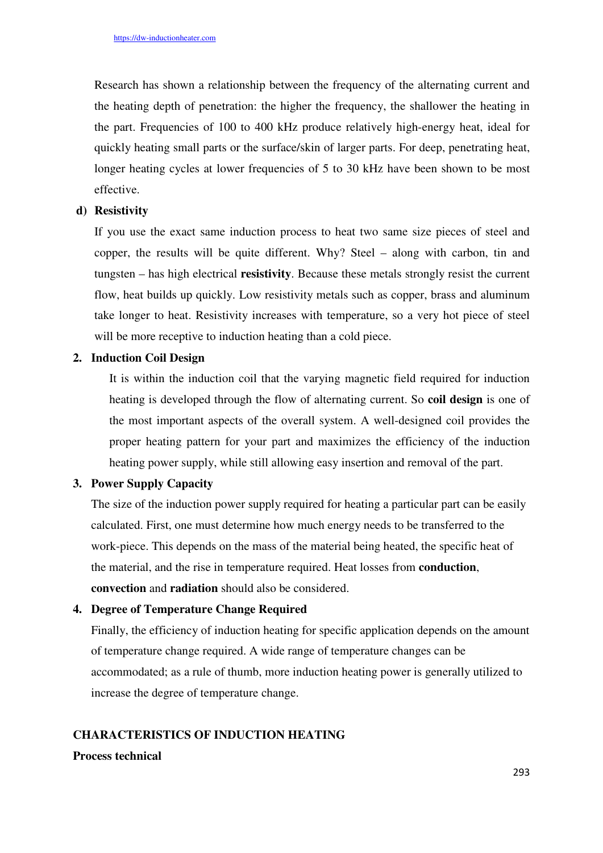Research has shown a relationship between the frequency of the alternating current and the heating depth of penetration: the higher the frequency, the shallower the heating in the part. Frequencies of 100 to 400 kHz produce relatively high-energy heat, ideal for quickly heating small parts or the surface/skin of larger parts. For deep, penetrating heat, longer heating cycles at lower frequencies of 5 to 30 kHz have been shown to be most effective.

### **d) Resistivity**

If you use the exact same induction process to heat two same size pieces of steel and copper, the results will be quite different. Why? Steel – along with carbon, tin and tungsten – has high electrical **[resistivity](http://www.inductionatmospheres.com/induction-heating/terms.html%23resistivity)**. Because these metals strongly resist the current flow, heat builds up quickly. Low resistivity metals such as copper, brass and aluminum take longer to heat. Resistivity increases with temperature, so a very hot piece of steel will be more receptive to induction heating than a cold piece.

## **2. Induction Coil Design**

It is within the induction coil that the varying magnetic field required for induction heating is developed through the flow of alternating current. So **[coil design](http://www.inductionatmospheres.com/induction-heating/coil-design.html)** is one of the most important aspects of the overall system. A well-designed coil provides the proper heating pattern for your part and maximizes the efficiency of the induction heating power supply, while still allowing easy insertion and removal of the part.

### **3. Power Supply Capacity**

The size of the induction power supply required for heating a particular part can be easily calculated. First, one must determine how much energy needs to be transferred to the work-piece. This depends on the mass of the material being heated, the specific heat of the material, and the rise in temperature required. Heat losses from **[conduction](http://www.inductionatmospheres.com/induction-heating/terms.html%23conduction)**, **[convection](http://www.inductionatmospheres.com/induction-heating/terms.html%23convection)** and **[radiation](http://www.inductionatmospheres.com/induction-heating/terms.html%23Anchor-Radiation-59900)** should also be considered.

## **4. Degree of Temperature Change Required**

Finally, the efficiency of induction heating for specific application depends on the amount of temperature change required. A wide range of temperature changes can be accommodated; as a rule of thumb, more induction heating power is generally utilized to increase the degree of temperature change.

#### **CHARACTERISTICS OF INDUCTION HEATING**

## **Process technical**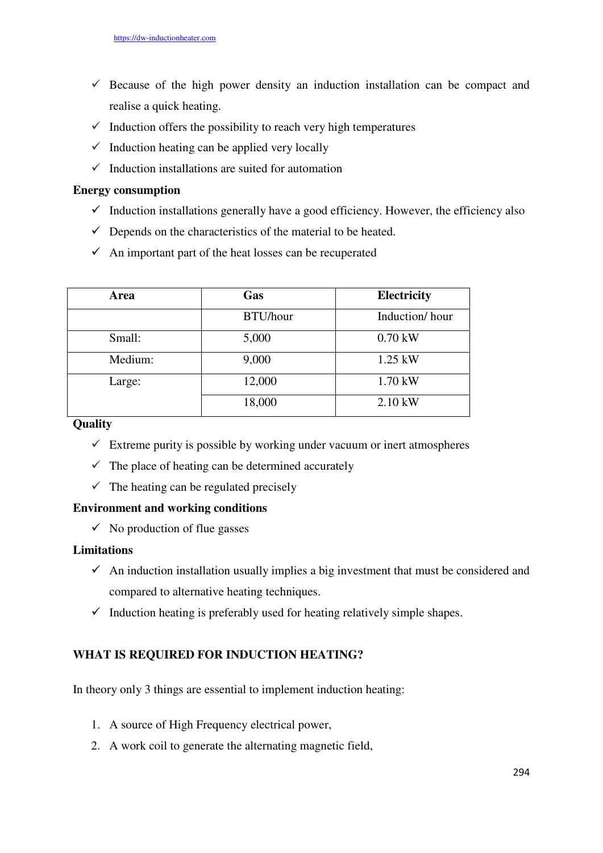- $\checkmark$  Because of the high power density an induction installation can be compact and realise a quick heating.
- $\checkmark$  Induction offers the possibility to reach very high temperatures
- $\checkmark$  Induction heating can be applied very locally
- $\checkmark$  Induction installations are suited for automation

## **Energy consumption**

- $\checkmark$  Induction installations generally have a good efficiency. However, the efficiency also
- $\checkmark$  Depends on the characteristics of the material to be heated.
- $\checkmark$  An important part of the heat losses can be recuperated

| Area    | Gas      | <b>Electricity</b> |
|---------|----------|--------------------|
|         | BTU/hour | Induction/hour     |
| Small:  | 5,000    | $0.70$ kW          |
| Medium: | 9,000    | $1.25$ kW          |
| Large:  | 12,000   | 1.70 kW            |
|         | 18,000   | $2.10$ kW          |

## **Quality**

- $\checkmark$  Extreme purity is possible by working under vacuum or inert atmospheres
- $\checkmark$  The place of heating can be determined accurately
- $\checkmark$  The heating can be regulated precisely

## **Environment and working conditions**

 $\checkmark$  No production of flue gasses

## **Limitations**

- $\checkmark$  An induction installation usually implies a big investment that must be considered and compared to alternative heating techniques.
- $\checkmark$  Induction heating is preferably used for heating relatively simple shapes.

# **WHAT IS REQUIRED FOR INDUCTION HEATING?**

In theory only 3 things are essential to implement induction heating:

- 1. A source of High Frequency electrical power,
- 2. A work coil to generate the alternating magnetic field,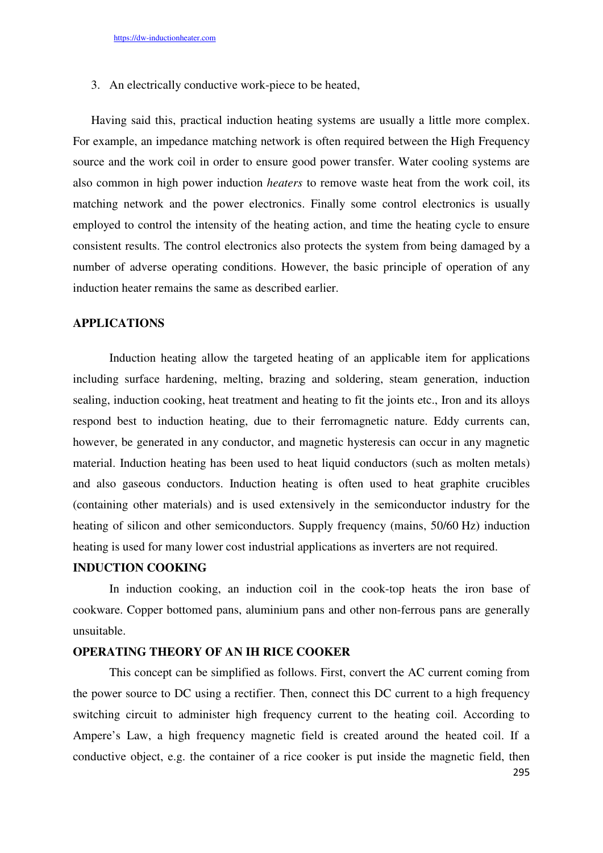3. An electrically conductive work-piece to be heated,

Having said this, practical induction heating systems are usually a little more complex. For example, an impedance matching network is often required between the High Frequency source and the work coil in order to ensure good power transfer. Water cooling systems are also common in high power induction *heaters* to remove waste heat from the work coil, its matching network and the power electronics. Finally some control electronics is usually employed to control the intensity of the heating action, and time the heating cycle to ensure consistent results. The control electronics also protects the system from being damaged by a number of adverse operating conditions. However, the basic principle of operation of any induction heater remains the same as described earlier.

## **APPLICATIONS**

Induction heating allow the targeted heating of an applicable item for applications including surface hardening, melting, brazing and soldering, steam generation, induction sealing, induction cooking, heat treatment and heating to fit the joints etc., Iron and its alloys respond best to induction heating, due to their ferromagnetic nature. Eddy currents can, however, be generated in any conductor, and magnetic hysteresis can occur in any magnetic material. Induction heating has been used to heat liquid conductors (such as molten metals) and also gaseous conductors. Induction heating is often used to heat graphite crucibles (containing other materials) and is used extensively in the semiconductor industry for the heating of silicon and other semiconductors. Supply frequency (mains, 50/60 Hz) induction heating is used for many lower cost industrial applications as inverters are not required.

## **INDUCTION COOKING**

In induction cooking, an induction coil in the cook-top heats the iron base of cookware. Copper bottomed pans, aluminium pans and other non-ferrous pans are generally unsuitable.

## **OPERATING THEORY OF AN IH RICE COOKER**

This concept can be simplified as follows. First, convert the AC current coming from the power source to DC using a rectifier. Then, connect this DC current to a high frequency switching circuit to administer high frequency current to the heating coil. According to Ampere's Law, a high frequency magnetic field is created around the heated coil. If a conductive object, e.g. the container of a rice cooker is put inside the magnetic field, then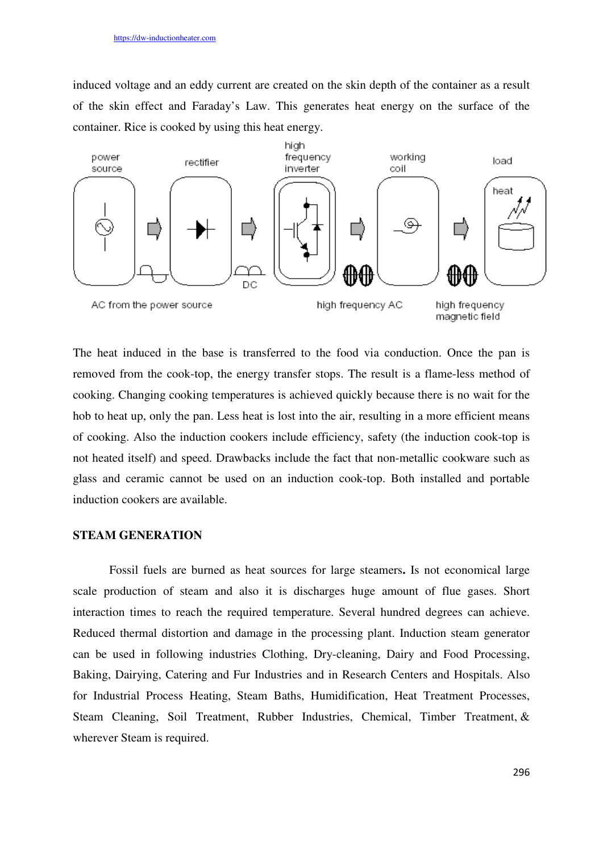induced voltage and an eddy current are created on the skin depth of the container as a result of the skin effect and Faraday's Law. This generates heat energy on the surface of the container. Rice is cooked by using this heat energy.



The heat induced in the base is transferred to the food via conduction. Once the pan is removed from the cook-top, the energy transfer stops. The result is a flame-less method of cooking. Changing cooking temperatures is achieved quickly because there is no wait for the hob to heat up, only the pan. Less heat is lost into the air, resulting in a more efficient means of cooking. Also the induction cookers include efficiency, safety (the induction cook-top is not heated itself) and speed. Drawbacks include the fact that non-metallic cookware such as glass and ceramic cannot be used on an induction cook-top. Both installed and portable induction cookers are available.

## **STEAM GENERATION**

Fossil fuels are burned as heat sources for large steamers**.** Is not economical large scale production of steam and also it is discharges huge amount of flue gases. Short interaction times to reach the required temperature. Several hundred degrees can achieve. Reduced thermal distortion and damage in the processing plant. Induction steam generator can be used in following industries Clothing, Dry-cleaning, Dairy and Food Processing, Baking, Dairying, Catering and Fur Industries and in Research Centers and Hospitals. Also for Industrial Process Heating, Steam Baths, Humidification, Heat Treatment Processes, Steam Cleaning, Soil Treatment, Rubber Industries, Chemical, Timber Treatment, & wherever Steam is required.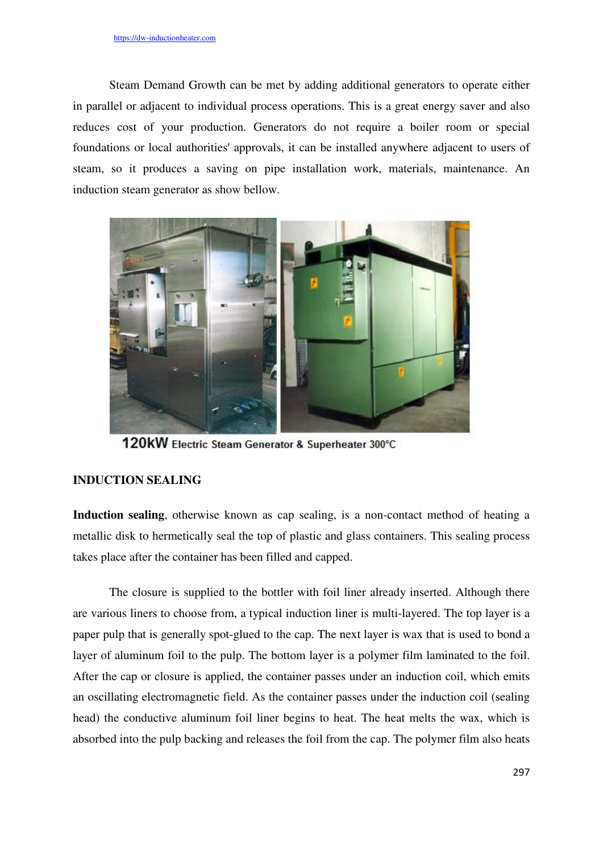Steam Demand Growth can be met by adding additional generators to operate either in parallel or adjacent to individual process operations. This is a great energy saver and also reduces cost of your production. Generators do not require a boiler room or special foundations or local authorities' approvals, it can be installed anywhere adjacent to users of steam, so it produces a saving on pipe installation work, materials, maintenance. An induction steam generator as show bellow.



120kW Electric Steam Generator & Superheater 300°C

## **INDUCTION SEALING**

**Induction sealing**, otherwise known as cap sealing, is a non-contact method of heating a metallic disk to hermetically seal the top of plastic and glass containers. This sealing process takes place after the container has been filled and capped.

The closure is supplied to the bottler with foil liner already inserted. Although there are various liners to choose from, a typical induction liner is multi-layered. The top layer is a paper pulp that is generally spot-glued to the cap. The next layer is wax that is used to bond a layer of aluminum foil to the pulp. The bottom layer is a polymer film laminated to the foil. After the cap or closure is applied, the container passes under an induction coil, which emits an oscillating electromagnetic field. As the container passes under the induction coil (sealing head) the conductive aluminum foil liner begins to heat. The heat melts the wax, which is absorbed into the pulp backing and releases the foil from the cap. The polymer film also heats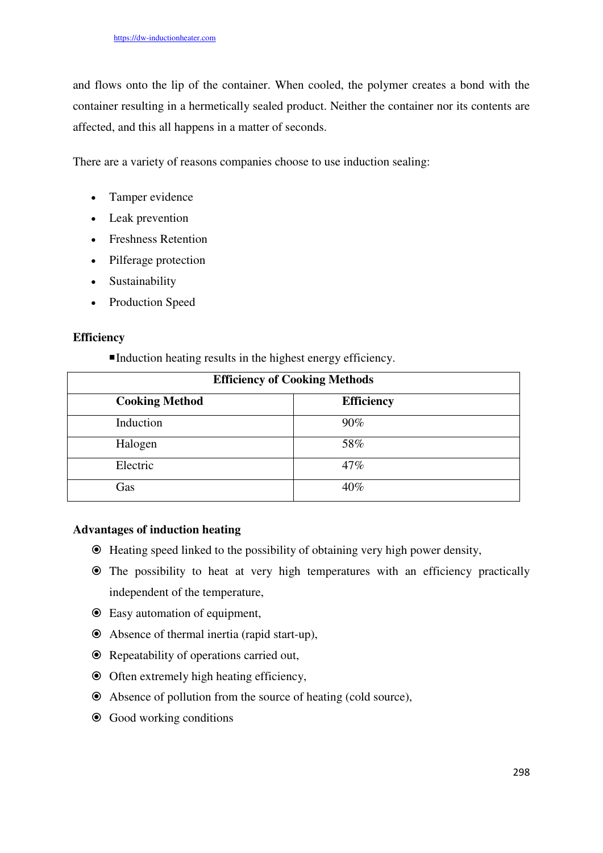and flows onto the lip of the container. When cooled, the polymer creates a bond with the container resulting in a hermetically sealed product. Neither the container nor its contents are affected, and this all happens in a matter of seconds.

There are a variety of reasons companies choose to use induction sealing:

- Tamper evidence
- Leak prevention
- Freshness Retention
- Pilferage protection
- Sustainability
- Production Speed

## **Efficiency**

Induction heating results in the highest energy efficiency.

| <b>Efficiency of Cooking Methods</b> |                   |  |
|--------------------------------------|-------------------|--|
| <b>Cooking Method</b>                | <b>Efficiency</b> |  |
| Induction                            | $90\%$            |  |
| Halogen                              | 58%               |  |
| Electric                             | 47%               |  |
| Gas                                  | 40%               |  |

# **Advantages of induction heating**

- Heating speed linked to the possibility of obtaining very high power density,
- The possibility to heat at very high temperatures with an efficiency practically independent of the temperature,
- Easy automation of equipment,
- Absence of thermal inertia (rapid start-up),
- Repeatability of operations carried out,
- $\odot$  Often extremely high heating efficiency,
- Absence of pollution from the source of heating (cold source),
- Good working conditions